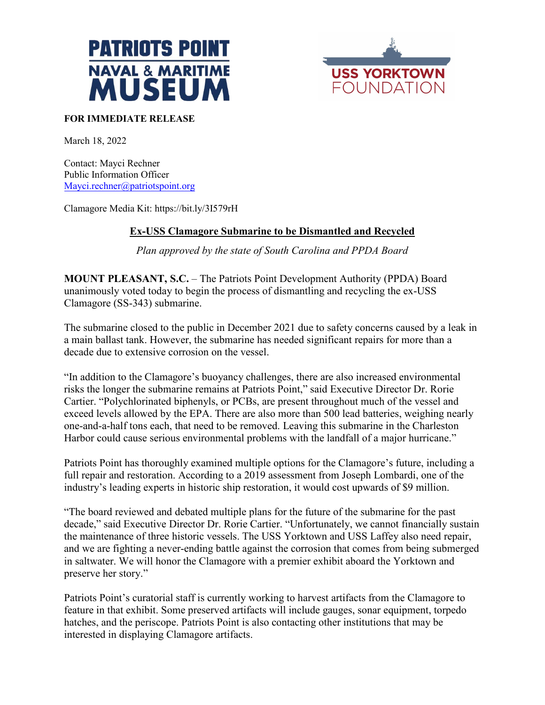



## **FOR IMMEDIATE RELEASE**

March 18, 2022

Contact: Mayci Rechner Public Information Officer [Mayci.rechner@patriotspoint.org](mailto:Mayci.rechner@patriotspoint.org)

Clamagore Media Kit: https://bit.ly/3I579rH

# **Ex-USS Clamagore Submarine to be Dismantled and Recycled**

*Plan approved by the state of South Carolina and PPDA Board* 

**MOUNT PLEASANT, S.C.** – The Patriots Point Development Authority (PPDA) Board unanimously voted today to begin the process of dismantling and recycling the ex-USS Clamagore (SS-343) submarine.

The submarine closed to the public in December 2021 due to safety concerns caused by a leak in a main ballast tank. However, the submarine has needed significant repairs for more than a decade due to extensive corrosion on the vessel.

"In addition to the Clamagore's buoyancy challenges, there are also increased environmental risks the longer the submarine remains at Patriots Point," said Executive Director Dr. Rorie Cartier. "Polychlorinated biphenyls, or PCBs, are present throughout much of the vessel and exceed levels allowed by the EPA. There are also more than 500 lead batteries, weighing nearly one-and-a-half tons each, that need to be removed. Leaving this submarine in the Charleston Harbor could cause serious environmental problems with the landfall of a major hurricane."

Patriots Point has thoroughly examined multiple options for the Clamagore's future, including a full repair and restoration. According to a 2019 assessment from Joseph Lombardi, one of the industry's leading experts in historic ship restoration, it would cost upwards of \$9 million.

"The board reviewed and debated multiple plans for the future of the submarine for the past decade," said Executive Director Dr. Rorie Cartier. "Unfortunately, we cannot financially sustain the maintenance of three historic vessels. The USS Yorktown and USS Laffey also need repair, and we are fighting a never-ending battle against the corrosion that comes from being submerged in saltwater. We will honor the Clamagore with a premier exhibit aboard the Yorktown and preserve her story."

Patriots Point's curatorial staff is currently working to harvest artifacts from the Clamagore to feature in that exhibit. Some preserved artifacts will include gauges, sonar equipment, torpedo hatches, and the periscope. Patriots Point is also contacting other institutions that may be interested in displaying Clamagore artifacts.